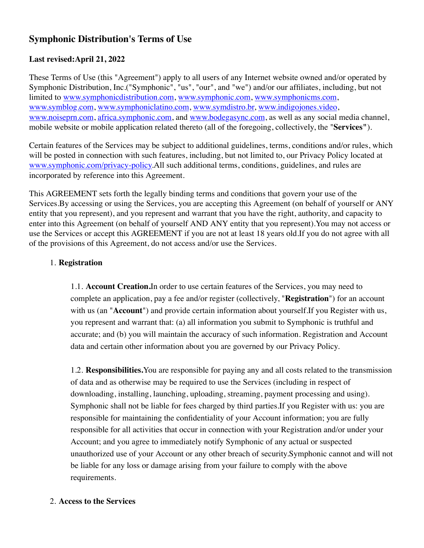# **Symphonic Distribution's Terms of Use**

# **Last revised:April 21, 2022**

These Terms of Use (this "Agreement") apply to all users of any Internet website owned and/or operated by Symphonic Distribution, Inc.("Symphonic", "us", "our", and "we") and/or our affiliates, including, but not limited to [www.symphonicdistribution.com](http://www.symphonicdistribution.com/), [www.symphonic.com,](http://www.symphonic.com/) [www.symphonicms.com](http://www.symphonicms.com/), [www.symblog.com](http://www.symblog.com/), [www.symphoniclatino.com](http://www.symphoniclatino.com/), [www.symdistro.br](http://www.symdistro.br/), [www.indigojones.video](http://www.indigojones.video/), [www.noiseprn.com](http://www.noiseprn.com/), [africa.symphonic.com,](https://africa.symphonic.com/) and [www.bodegasync.com,](http://www.bodegasync.com/) as well as any social media channel, mobile website or mobile application related thereto (all of the foregoing, collectively, the "**Services"**).

Certain features of the Services may be subject to additional guidelines, terms, conditions and/or rules, which will be posted in connection with such features, including, but not limited to, our Privacy Policy located at [www.symphonic.com/privacy-policy](https://symphonic.com/privacy-policy/).All such additional terms, conditions, guidelines, and rules are incorporated by reference into this Agreement.

This AGREEMENT sets forth the legally binding terms and conditions that govern your use of the Services.By accessing or using the Services, you are accepting this Agreement (on behalf of yourself or ANY entity that you represent), and you represent and warrant that you have the right, authority, and capacity to enter into this Agreement (on behalf of yourself AND ANY entity that you represent).You may not access or use the Services or accept this AGREEMENT if you are not at least 18 years old.If you do not agree with all of the provisions of this Agreement, do not access and/or use the Services.

# 1. **Registration**

1.1. **Account Creation.**In order to use certain features of the Services, you may need to complete an application, pay a fee and/or register (collectively, "**Registration**") for an account with us (an "**Account**") and provide certain information about yourself.If you Register with us, you represent and warrant that: (a) all information you submit to Symphonic is truthful and accurate; and (b) you will maintain the accuracy of such information. Registration and Account data and certain other information about you are governed by our Privacy Policy.

1.2. **Responsibilities.**You are responsible for paying any and all costs related to the transmission of data and as otherwise may be required to use the Services (including in respect of downloading, installing, launching, uploading, streaming, payment processing and using). Symphonic shall not be liable for fees charged by third parties.If you Register with us: you are responsible for maintaining the confidentiality of your Account information; you are fully responsible for all activities that occur in connection with your Registration and/or under your Account; and you agree to immediately notify Symphonic of any actual or suspected unauthorized use of your Account or any other breach of security.Symphonic cannot and will not be liable for any loss or damage arising from your failure to comply with the above requirements.

## 2. **Access to the Services**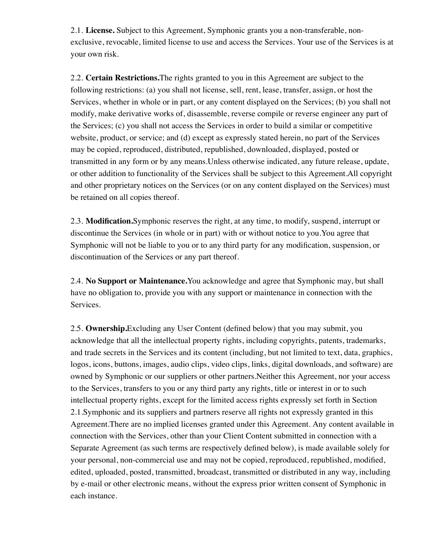2.1. **License.** Subject to this Agreement, Symphonic grants you a non-transferable, nonexclusive, revocable, limited license to use and access the Services. Your use of the Services is at your own risk.

2.2. **Certain Restrictions.**The rights granted to you in this Agreement are subject to the following restrictions: (a) you shall not license, sell, rent, lease, transfer, assign, or host the Services, whether in whole or in part, or any content displayed on the Services; (b) you shall not modify, make derivative works of, disassemble, reverse compile or reverse engineer any part of the Services; (c) you shall not access the Services in order to build a similar or competitive website, product, or service; and (d) except as expressly stated herein, no part of the Services may be copied, reproduced, distributed, republished, downloaded, displayed, posted or transmitted in any form or by any means.Unless otherwise indicated, any future release, update, or other addition to functionality of the Services shall be subject to this Agreement.All copyright and other proprietary notices on the Services (or on any content displayed on the Services) must be retained on all copies thereof.

2.3. **Modification.**Symphonic reserves the right, at any time, to modify, suspend, interrupt or discontinue the Services (in whole or in part) with or without notice to you.You agree that Symphonic will not be liable to you or to any third party for any modification, suspension, or discontinuation of the Services or any part thereof.

2.4. **No Support or Maintenance.**You acknowledge and agree that Symphonic may, but shall have no obligation to, provide you with any support or maintenance in connection with the Services.

2.5. **Ownership.**Excluding any User Content (defined below) that you may submit, you acknowledge that all the intellectual property rights, including copyrights, patents, trademarks, and trade secrets in the Services and its content (including, but not limited to text, data, graphics, logos, icons, buttons, images, audio clips, video clips, links, digital downloads, and software) are owned by Symphonic or our suppliers or other partners.Neither this Agreement, nor your access to the Services, transfers to you or any third party any rights, title or interest in or to such intellectual property rights, except for the limited access rights expressly set forth in Section 2.1.Symphonic and its suppliers and partners reserve all rights not expressly granted in this Agreement.There are no implied licenses granted under this Agreement. Any content available in connection with the Services, other than your Client Content submitted in connection with a Separate Agreement (as such terms are respectively defined below), is made available solely for your personal, non-commercial use and may not be copied, reproduced, republished, modified, edited, uploaded, posted, transmitted, broadcast, transmitted or distributed in any way, including by e-mail or other electronic means, without the express prior written consent of Symphonic in each instance.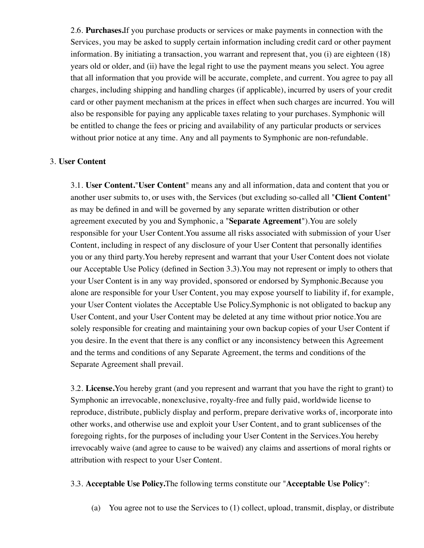2.6. **Purchases.**If you purchase products or services or make payments in connection with the Services, you may be asked to supply certain information including credit card or other payment information. By initiating a transaction, you warrant and represent that, you (i) are eighteen (18) years old or older, and (ii) have the legal right to use the payment means you select. You agree that all information that you provide will be accurate, complete, and current. You agree to pay all charges, including shipping and handling charges (if applicable), incurred by users of your credit card or other payment mechanism at the prices in effect when such charges are incurred. You will also be responsible for paying any applicable taxes relating to your purchases. Symphonic will be entitled to change the fees or pricing and availability of any particular products or services without prior notice at any time. Any and all payments to Symphonic are non-refundable.

#### 3. **User Content**

3.1. **User Content.**"**User Content**" means any and all information, data and content that you or another user submits to, or uses with, the Services (but excluding so-called all "**Client Content**" as may be defined in and will be governed by any separate written distribution or other agreement executed by you and Symphonic, a "**Separate Agreement**").You are solely responsible for your User Content.You assume all risks associated with submission of your User Content, including in respect of any disclosure of your User Content that personally identifies you or any third party.You hereby represent and warrant that your User Content does not violate our Acceptable Use Policy (defined in Section 3.3).You may not represent or imply to others that your User Content is in any way provided, sponsored or endorsed by Symphonic.Because you alone are responsible for your User Content, you may expose yourself to liability if, for example, your User Content violates the Acceptable Use Policy.Symphonic is not obligated to backup any User Content, and your User Content may be deleted at any time without prior notice.You are solely responsible for creating and maintaining your own backup copies of your User Content if you desire. In the event that there is any conflict or any inconsistency between this Agreement and the terms and conditions of any Separate Agreement, the terms and conditions of the Separate Agreement shall prevail.

3.2. **License.**You hereby grant (and you represent and warrant that you have the right to grant) to Symphonic an irrevocable, nonexclusive, royalty-free and fully paid, worldwide license to reproduce, distribute, publicly display and perform, prepare derivative works of, incorporate into other works, and otherwise use and exploit your User Content, and to grant sublicenses of the foregoing rights, for the purposes of including your User Content in the Services.You hereby irrevocably waive (and agree to cause to be waived) any claims and assertions of moral rights or attribution with respect to your User Content.

#### 3.3. **Acceptable Use Policy.**The following terms constitute our "**Acceptable Use Policy**":

(a) You agree not to use the Services to  $(1)$  collect, upload, transmit, display, or distribute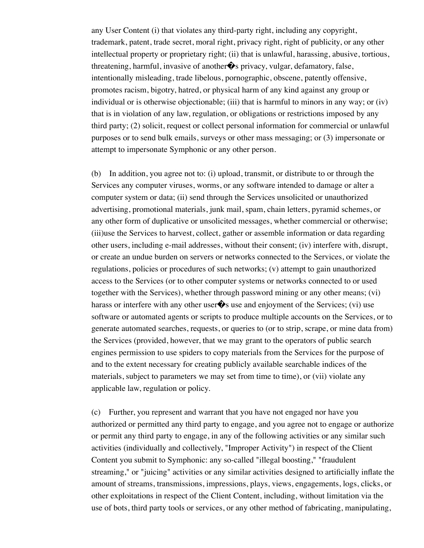any User Content (i) that violates any third-party right, including any copyright, trademark, patent, trade secret, moral right, privacy right, right of publicity, or any other intellectual property or proprietary right; (ii) that is unlawful, harassing, abusive, tortious, threatening, harmful, invasive of another  $\hat{\mathbf{\bullet}}$ s privacy, vulgar, defamatory, false, intentionally misleading, trade libelous, pornographic, obscene, patently offensive, promotes racism, bigotry, hatred, or physical harm of any kind against any group or individual or is otherwise objectionable; (iii) that is harmful to minors in any way; or (iv) that is in violation of any law, regulation, or obligations or restrictions imposed by any third party; (2) solicit, request or collect personal information for commercial or unlawful purposes or to send bulk emails, surveys or other mass messaging; or (3) impersonate or attempt to impersonate Symphonic or any other person.

(b) In addition, you agree not to: (i) upload, transmit, or distribute to or through the Services any computer viruses, worms, or any software intended to damage or alter a computer system or data; (ii) send through the Services unsolicited or unauthorized advertising, promotional materials, junk mail, spam, chain letters, pyramid schemes, or any other form of duplicative or unsolicited messages, whether commercial or otherwise; (iii)use the Services to harvest, collect, gather or assemble information or data regarding other users, including e-mail addresses, without their consent; (iv) interfere with, disrupt, or create an undue burden on servers or networks connected to the Services, or violate the regulations, policies or procedures of such networks; (v) attempt to gain unauthorized access to the Services (or to other computer systems or networks connected to or used together with the Services), whether through password mining or any other means; (vi) harass or interfere with any other user  $\hat{\mathbf{\bullet}}$  use and enjoyment of the Services; (vi) use software or automated agents or scripts to produce multiple accounts on the Services, or to generate automated searches, requests, or queries to (or to strip, scrape, or mine data from) the Services (provided, however, that we may grant to the operators of public search engines permission to use spiders to copy materials from the Services for the purpose of and to the extent necessary for creating publicly available searchable indices of the materials, subject to parameters we may set from time to time), or (vii) violate any applicable law, regulation or policy.

(c) Further, you represent and warrant that you have not engaged nor have you authorized or permitted any third party to engage, and you agree not to engage or authorize or permit any third party to engage, in any of the following activities or any similar such activities (individually and collectively, "Improper Activity") in respect of the Client Content you submit to Symphonic: any so-called "illegal boosting," "fraudulent streaming," or "juicing" activities or any similar activities designed to artificially inflate the amount of streams, transmissions, impressions, plays, views, engagements, logs, clicks, or other exploitations in respect of the Client Content, including, without limitation via the use of bots, third party tools or services, or any other method of fabricating, manipulating,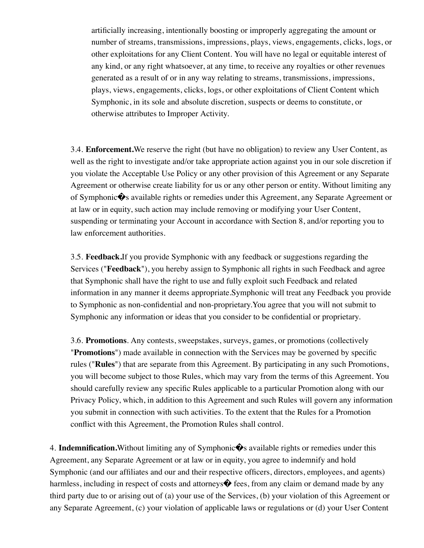artificially increasing, intentionally boosting or improperly aggregating the amount or number of streams, transmissions, impressions, plays, views, engagements, clicks, logs, or other exploitations for any Client Content. You will have no legal or equitable interest of any kind, or any right whatsoever, at any time, to receive any royalties or other revenues generated as a result of or in any way relating to streams, transmissions, impressions, plays, views, engagements, clicks, logs, or other exploitations of Client Content which Symphonic, in its sole and absolute discretion, suspects or deems to constitute, or otherwise attributes to Improper Activity.

3.4. **Enforcement.**We reserve the right (but have no obligation) to review any User Content, as well as the right to investigate and/or take appropriate action against you in our sole discretion if you violate the Acceptable Use Policy or any other provision of this Agreement or any Separate Agreement or otherwise create liability for us or any other person or entity. Without limiting any of Symphonic $\bullet$ s available rights or remedies under this Agreement, any Separate Agreement or at law or in equity, such action may include removing or modifying your User Content, suspending or terminating your Account in accordance with Section 8, and/or reporting you to law enforcement authorities.

3.5. **Feedback.**If you provide Symphonic with any feedback or suggestions regarding the Services ("**Feedback**"), you hereby assign to Symphonic all rights in such Feedback and agree that Symphonic shall have the right to use and fully exploit such Feedback and related information in any manner it deems appropriate.Symphonic will treat any Feedback you provide to Symphonic as non-confidential and non-proprietary.You agree that you will not submit to Symphonic any information or ideas that you consider to be confidential or proprietary.

3.6. **Promotions**. Any contests, sweepstakes, surveys, games, or promotions (collectively "**Promotions**") made available in connection with the Services may be governed by specific rules ("**Rules**") that are separate from this Agreement. By participating in any such Promotions, you will become subject to those Rules, which may vary from the terms of this Agreement. You should carefully review any specific Rules applicable to a particular Promotion along with our Privacy Policy, which, in addition to this Agreement and such Rules will govern any information you submit in connection with such activities. To the extent that the Rules for a Promotion conflict with this Agreement, the Promotion Rules shall control.

4. **Indemnification.** Without limiting any of Symphonic  $\bullet$  available rights or remedies under this Agreement, any Separate Agreement or at law or in equity, you agree to indemnify and hold Symphonic (and our affiliates and our and their respective officers, directors, employees, and agents) harmless, including in respect of costs and attorneys $\hat{\mathbf{\diamond}}$  fees, from any claim or demand made by any third party due to or arising out of (a) your use of the Services, (b) your violation of this Agreement or any Separate Agreement, (c) your violation of applicable laws or regulations or (d) your User Content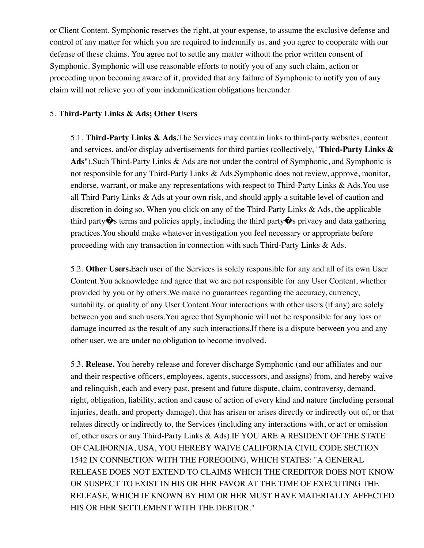or Client Content. Symphonic reserves the right, at your expense, to assume the exclusive defense and control of any matter for which you are required to indemnify us, and you agree to cooperate with our defense of these claims. You agree not to settle any matter without the prior written consent of Symphonic. Symphonic will use reasonable efforts to notify you of any such claim, action or proceeding upon becoming aware of it, provided that any failure of Symphonic to notify you of any claim will not relieve you of your indemnification obligations hereunder.

## 5. **Third-Party Links & Ads; Other Users**

5.1. **Third-Party Links & Ads.**The Services may contain links to third-party websites, content and services, and/or display advertisements for third parties (collectively, "**Third-Party Links & Ads**").Such Third-Party Links & Ads are not under the control of Symphonic, and Symphonic is not responsible for any Third-Party Links & Ads.Symphonic does not review, approve, monitor, endorse, warrant, or make any representations with respect to Third-Party Links & Ads. You use all Third-Party Links & Ads at your own risk, and should apply a suitable level of caution and discretion in doing so. When you click on any of the Third-Party Links & Ads, the applicable third party  $\hat{\bullet}$ s terms and policies apply, including the third party  $\hat{\bullet}$ s privacy and data gathering practices.You should make whatever investigation you feel necessary or appropriate before proceeding with any transaction in connection with such Third-Party Links & Ads.

5.2. **Other Users.**Each user of the Services is solely responsible for any and all of its own User Content.You acknowledge and agree that we are not responsible for any User Content, whether provided by you or by others.We make no guarantees regarding the accuracy, currency, suitability, or quality of any User Content.Your interactions with other users (if any) are solely between you and such users.You agree that Symphonic will not be responsible for any loss or damage incurred as the result of any such interactions.If there is a dispute between you and any other user, we are under no obligation to become involved.

5.3. **Release.** You hereby release and forever discharge Symphonic (and our affiliates and our and their respective officers, employees, agents, successors, and assigns) from, and hereby waive and relinquish, each and every past, present and future dispute, claim, controversy, demand, right, obligation, liability, action and cause of action of every kind and nature (including personal injuries, death, and property damage), that has arisen or arises directly or indirectly out of, or that relates directly or indirectly to, the Services (including any interactions with, or act or omission of, other users or any Third-Party Links & Ads).IF YOU ARE A RESIDENT OF THE STATE OF CALIFORNIA, USA, YOU HEREBY WAIVE CALIFORNIA CIVIL CODE SECTION 1542 IN CONNECTION WITH THE FOREGOING, WHICH STATES: "A GENERAL RELEASE DOES NOT EXTEND TO CLAIMS WHICH THE CREDITOR DOES NOT KNOW OR SUSPECT TO EXIST IN HIS OR HER FAVOR AT THE TIME OF EXECUTING THE RELEASE, WHICH IF KNOWN BY HIM OR HER MUST HAVE MATERIALLY AFFECTED HIS OR HER SETTLEMENT WITH THE DEBTOR."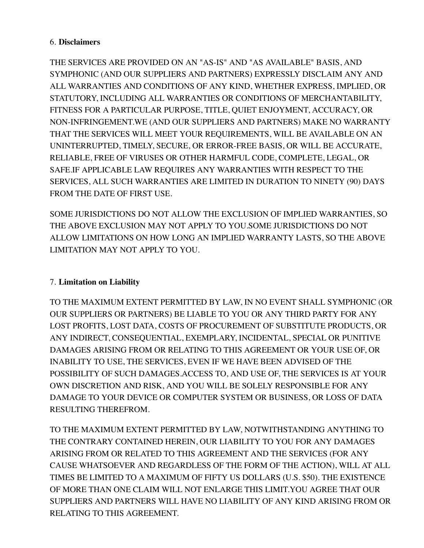## 6. **Disclaimers**

THE SERVICES ARE PROVIDED ON AN "AS-IS" AND "AS AVAILABLE" BASIS, AND SYMPHONIC (AND OUR SUPPLIERS AND PARTNERS) EXPRESSLY DISCLAIM ANY AND ALL WARRANTIES AND CONDITIONS OF ANY KIND, WHETHER EXPRESS, IMPLIED, OR STATUTORY, INCLUDING ALL WARRANTIES OR CONDITIONS OF MERCHANTABILITY, FITNESS FOR A PARTICULAR PURPOSE, TITLE, QUIET ENJOYMENT, ACCURACY, OR NON-INFRINGEMENT.WE (AND OUR SUPPLIERS AND PARTNERS) MAKE NO WARRANTY THAT THE SERVICES WILL MEET YOUR REQUIREMENTS, WILL BE AVAILABLE ON AN UNINTERRUPTED, TIMELY, SECURE, OR ERROR-FREE BASIS, OR WILL BE ACCURATE, RELIABLE, FREE OF VIRUSES OR OTHER HARMFUL CODE, COMPLETE, LEGAL, OR SAFE.IF APPLICABLE LAW REQUIRES ANY WARRANTIES WITH RESPECT TO THE SERVICES, ALL SUCH WARRANTIES ARE LIMITED IN DURATION TO NINETY (90) DAYS FROM THE DATE OF FIRST USE.

SOME JURISDICTIONS DO NOT ALLOW THE EXCLUSION OF IMPLIED WARRANTIES, SO THE ABOVE EXCLUSION MAY NOT APPLY TO YOU.SOME JURISDICTIONS DO NOT ALLOW LIMITATIONS ON HOW LONG AN IMPLIED WARRANTY LASTS, SO THE ABOVE LIMITATION MAY NOT APPLY TO YOU.

# 7. **Limitation on Liability**

TO THE MAXIMUM EXTENT PERMITTED BY LAW, IN NO EVENT SHALL SYMPHONIC (OR OUR SUPPLIERS OR PARTNERS) BE LIABLE TO YOU OR ANY THIRD PARTY FOR ANY LOST PROFITS, LOST DATA, COSTS OF PROCUREMENT OF SUBSTITUTE PRODUCTS, OR ANY INDIRECT, CONSEQUENTIAL, EXEMPLARY, INCIDENTAL, SPECIAL OR PUNITIVE DAMAGES ARISING FROM OR RELATING TO THIS AGREEMENT OR YOUR USE OF, OR INABILITY TO USE, THE SERVICES, EVEN IF WE HAVE BEEN ADVISED OF THE POSSIBILITY OF SUCH DAMAGES.ACCESS TO, AND USE OF, THE SERVICES IS AT YOUR OWN DISCRETION AND RISK, AND YOU WILL BE SOLELY RESPONSIBLE FOR ANY DAMAGE TO YOUR DEVICE OR COMPUTER SYSTEM OR BUSINESS, OR LOSS OF DATA RESULTING THEREFROM.

TO THE MAXIMUM EXTENT PERMITTED BY LAW, NOTWITHSTANDING ANYTHING TO THE CONTRARY CONTAINED HEREIN, OUR LIABILITY TO YOU FOR ANY DAMAGES ARISING FROM OR RELATED TO THIS AGREEMENT AND THE SERVICES (FOR ANY CAUSE WHATSOEVER AND REGARDLESS OF THE FORM OF THE ACTION), WILL AT ALL TIMES BE LIMITED TO A MAXIMUM OF FIFTY US DOLLARS (U.S. \$50). THE EXISTENCE OF MORE THAN ONE CLAIM WILL NOT ENLARGE THIS LIMIT.YOU AGREE THAT OUR SUPPLIERS AND PARTNERS WILL HAVE NO LIABILITY OF ANY KIND ARISING FROM OR RELATING TO THIS AGREEMENT.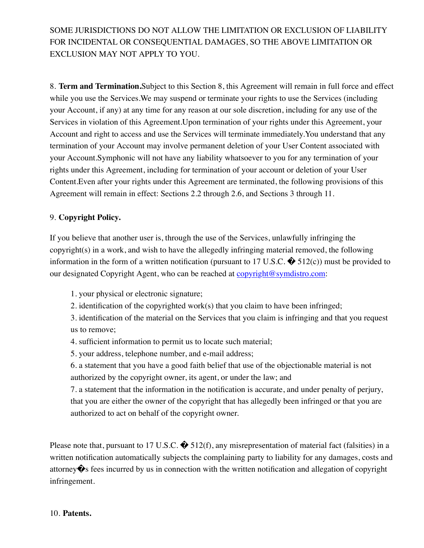SOME JURISDICTIONS DO NOT ALLOW THE LIMITATION OR EXCLUSION OF LIABILITY FOR INCIDENTAL OR CONSEQUENTIAL DAMAGES, SO THE ABOVE LIMITATION OR EXCLUSION MAY NOT APPLY TO YOU.

8. **Term and Termination.**Subject to this Section 8, this Agreement will remain in full force and effect while you use the Services.We may suspend or terminate your rights to use the Services (including your Account, if any) at any time for any reason at our sole discretion, including for any use of the Services in violation of this Agreement.Upon termination of your rights under this Agreement, your Account and right to access and use the Services will terminate immediately.You understand that any termination of your Account may involve permanent deletion of your User Content associated with your Account.Symphonic will not have any liability whatsoever to you for any termination of your rights under this Agreement, including for termination of your account or deletion of your User Content.Even after your rights under this Agreement are terminated, the following provisions of this Agreement will remain in effect: Sections 2.2 through 2.6, and Sections 3 through 11.

# 9. **Copyright Policy.**

If you believe that another user is, through the use of the Services, unlawfully infringing the copyright(s) in a work, and wish to have the allegedly infringing material removed, the following information in the form of a written notification (pursuant to 17 U.S.C.  $\bullet$  512(c)) must be provided to our designated Copyright Agent, who can be reached at [copyright@symdistro.com](mailto:copyright@symdistro.com):

- 1. your physical or electronic signature;
- 2. identification of the copyrighted work(s) that you claim to have been infringed;

3. identification of the material on the Services that you claim is infringing and that you request us to remove;

- 4. sufficient information to permit us to locate such material;
- 5. your address, telephone number, and e-mail address;

6. a statement that you have a good faith belief that use of the objectionable material is not authorized by the copyright owner, its agent, or under the law; and

7. a statement that the information in the notification is accurate, and under penalty of perjury, that you are either the owner of the copyright that has allegedly been infringed or that you are authorized to act on behalf of the copyright owner.

Please note that, pursuant to 17 U.S.C.  $\bullet$  512(f), any misrepresentation of material fact (falsities) in a written notification automatically subjects the complaining party to liability for any damages, costs and attorney�s fees incurred by us in connection with the written notification and allegation of copyright infringement.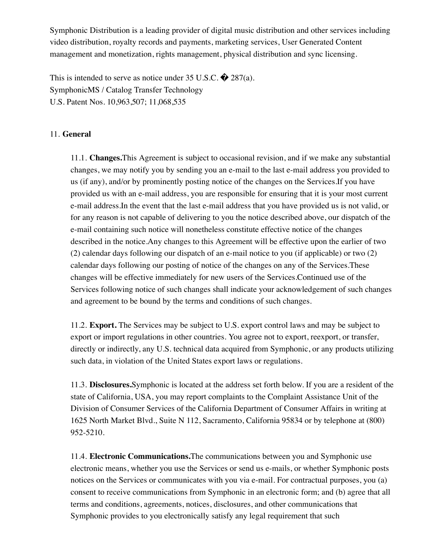Symphonic Distribution is a leading provider of digital music distribution and other services including video distribution, royalty records and payments, marketing services, User Generated Content management and monetization, rights management, physical distribution and sync licensing.

This is intended to serve as notice under 35 U.S.C.  $\bullet$  287(a). SymphonicMS / Catalog Transfer Technology U.S. Patent Nos. 10,963,507; 11,068,535

#### 11. **General**

11.1. **Changes.**This Agreement is subject to occasional revision, and if we make any substantial changes, we may notify you by sending you an e-mail to the last e-mail address you provided to us (if any), and/or by prominently posting notice of the changes on the Services.If you have provided us with an e-mail address, you are responsible for ensuring that it is your most current e-mail address.In the event that the last e-mail address that you have provided us is not valid, or for any reason is not capable of delivering to you the notice described above, our dispatch of the e-mail containing such notice will nonetheless constitute effective notice of the changes described in the notice.Any changes to this Agreement will be effective upon the earlier of two (2) calendar days following our dispatch of an e-mail notice to you (if applicable) or two (2) calendar days following our posting of notice of the changes on any of the Services.These changes will be effective immediately for new users of the Services.Continued use of the Services following notice of such changes shall indicate your acknowledgement of such changes and agreement to be bound by the terms and conditions of such changes.

11.2. **Export.** The Services may be subject to U.S. export control laws and may be subject to export or import regulations in other countries. You agree not to export, reexport, or transfer, directly or indirectly, any U.S. technical data acquired from Symphonic, or any products utilizing such data, in violation of the United States export laws or regulations.

11.3. **Disclosures.**Symphonic is located at the address set forth below. If you are a resident of the state of California, USA, you may report complaints to the Complaint Assistance Unit of the Division of Consumer Services of the California Department of Consumer Affairs in writing at 1625 North Market Blvd., Suite N 112, Sacramento, California 95834 or by telephone at (800) 952-5210.

11.4. **Electronic Communications.**The communications between you and Symphonic use electronic means, whether you use the Services or send us e-mails, or whether Symphonic posts notices on the Services or communicates with you via e-mail. For contractual purposes, you (a) consent to receive communications from Symphonic in an electronic form; and (b) agree that all terms and conditions, agreements, notices, disclosures, and other communications that Symphonic provides to you electronically satisfy any legal requirement that such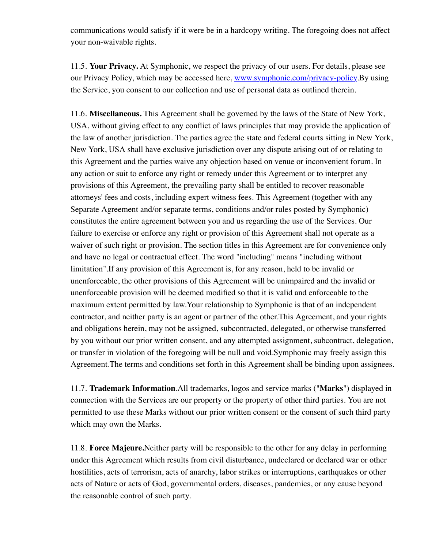communications would satisfy if it were be in a hardcopy writing. The foregoing does not affect your non-waivable rights.

11.5. **Your Privacy.** At Symphonic, we respect the privacy of our users. For details, please see our Privacy Policy, which may be accessed here, [www.symphonic.com/privacy-policy.](https://symphonic.com/privacy-policy/)By using the Service, you consent to our collection and use of personal data as outlined therein.

11.6. **Miscellaneous.** This Agreement shall be governed by the laws of the State of New York, USA, without giving effect to any conflict of laws principles that may provide the application of the law of another jurisdiction. The parties agree the state and federal courts sitting in New York, New York, USA shall have exclusive jurisdiction over any dispute arising out of or relating to this Agreement and the parties waive any objection based on venue or inconvenient forum. In any action or suit to enforce any right or remedy under this Agreement or to interpret any provisions of this Agreement, the prevailing party shall be entitled to recover reasonable attorneys' fees and costs, including expert witness fees. This Agreement (together with any Separate Agreement and/or separate terms, conditions and/or rules posted by Symphonic) constitutes the entire agreement between you and us regarding the use of the Services. Our failure to exercise or enforce any right or provision of this Agreement shall not operate as a waiver of such right or provision. The section titles in this Agreement are for convenience only and have no legal or contractual effect. The word "including" means "including without limitation".If any provision of this Agreement is, for any reason, held to be invalid or unenforceable, the other provisions of this Agreement will be unimpaired and the invalid or unenforceable provision will be deemed modified so that it is valid and enforceable to the maximum extent permitted by law.Your relationship to Symphonic is that of an independent contractor, and neither party is an agent or partner of the other.This Agreement, and your rights and obligations herein, may not be assigned, subcontracted, delegated, or otherwise transferred by you without our prior written consent, and any attempted assignment, subcontract, delegation, or transfer in violation of the foregoing will be null and void.Symphonic may freely assign this Agreement.The terms and conditions set forth in this Agreement shall be binding upon assignees.

11.7. **Trademark Information**.All trademarks, logos and service marks ("**Marks**") displayed in connection with the Services are our property or the property of other third parties. You are not permitted to use these Marks without our prior written consent or the consent of such third party which may own the Marks.

11.8. **Force Majeure.**Neither party will be responsible to the other for any delay in performing under this Agreement which results from civil disturbance, undeclared or declared war or other hostilities, acts of terrorism, acts of anarchy, labor strikes or interruptions, earthquakes or other acts of Nature or acts of God, governmental orders, diseases, pandemics, or any cause beyond the reasonable control of such party.